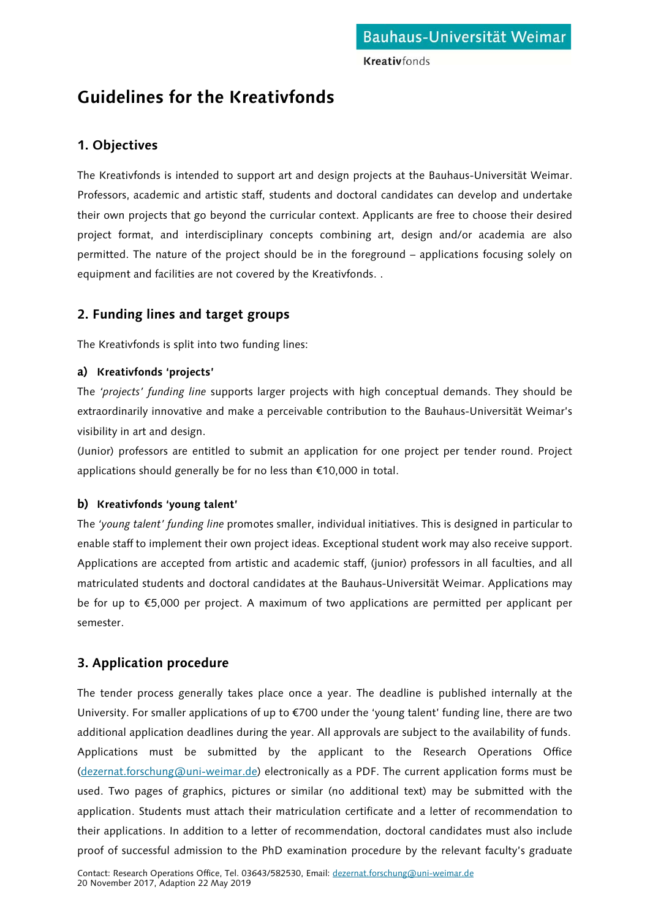**Kreativfonds** 

# **Guidelines for the Kreativfonds**

### **1. Objectives**

The Kreativfonds is intended to support art and design projects at the Bauhaus-Universität Weimar. Professors, academic and artistic staff, students and doctoral candidates can develop and undertake their own projects that go beyond the curricular context. Applicants are free to choose their desired project format, and interdisciplinary concepts combining art, design and/or academia are also permitted. The nature of the project should be in the foreground – applications focusing solely on equipment and facilities are not covered by the Kreativfonds. .

## **2. Funding lines and target groups**

The Kreativfonds is split into two funding lines:

### **a) Kreativfonds 'projects'**

The *'projects' funding line* supports larger projects with high conceptual demands. They should be extraordinarily innovative and make a perceivable contribution to the Bauhaus-Universität Weimar's visibility in art and design.

(Junior) professors are entitled to submit an application for one project per tender round. Project applications should generally be for no less than €10,000 in total.

### **b) Kreativfonds 'young talent'**

The *'young talent' funding line* promotes smaller, individual initiatives. This is designed in particular to enable staff to implement their own project ideas. Exceptional student work may also receive support. Applications are accepted from artistic and academic staff, (junior) professors in all faculties, and all matriculated students and doctoral candidates at the Bauhaus-Universität Weimar. Applications may be for up to €5,000 per project. A maximum of two applications are permitted per applicant per semester.

## **3. Application procedure**

The tender process generally takes place once a year. The deadline is published internally at the University. For smaller applications of up to €700 under the 'young talent' funding line, there are two additional application deadlines during the year. All approvals are subject to the availability of funds. Applications must be submitted by the applicant to the Research Operations Office [\(dezernat.forschung@uni-weimar.de\)](mailto:dezernat.forschung@uni-weimar.de) electronically as a PDF. The current application forms must be used. Two pages of graphics, pictures or similar (no additional text) may be submitted with the application. Students must attach their matriculation certificate and a letter of recommendation to their applications. In addition to a letter of recommendation, doctoral candidates must also include proof of successful admission to the PhD examination procedure by the relevant faculty's graduate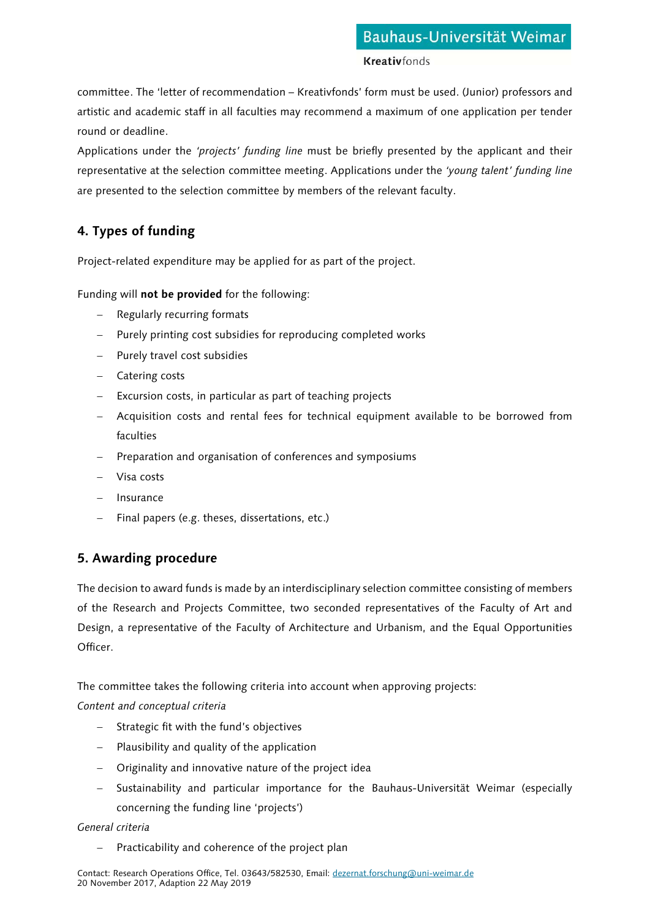committee. The 'letter of recommendation – Kreativfonds' form must be used. (Junior) professors and artistic and academic staff in all faculties may recommend a maximum of one application per tender round or deadline.

Applications under the *'projects' funding line* must be briefly presented by the applicant and their representative at the selection committee meeting. Applications under the *'young talent' funding line* are presented to the selection committee by members of the relevant faculty.

## **4. Types of funding**

Project-related expenditure may be applied for as part of the project.

Funding will **not be provided** for the following:

- − Regularly recurring formats
- − Purely printing cost subsidies for reproducing completed works
- − Purely travel cost subsidies
- − Catering costs
- − Excursion costs, in particular as part of teaching projects
- − Acquisition costs and rental fees for technical equipment available to be borrowed from faculties
- − Preparation and organisation of conferences and symposiums
- − Visa costs
- − Insurance
- − Final papers (e.g. theses, dissertations, etc.)

## **5. Awarding procedure**

The decision to award funds is made by an interdisciplinary selection committee consisting of members of the Research and Projects Committee, two seconded representatives of the Faculty of Art and Design, a representative of the Faculty of Architecture and Urbanism, and the Equal Opportunities Officer.

The committee takes the following criteria into account when approving projects:

*Content and conceptual criteria*

- − Strategic fit with the fund's objectives
- − Plausibility and quality of the application
- − Originality and innovative nature of the project idea
- − Sustainability and particular importance for the Bauhaus-Universität Weimar (especially concerning the funding line 'projects')

### *General criteria*

− Practicability and coherence of the project plan